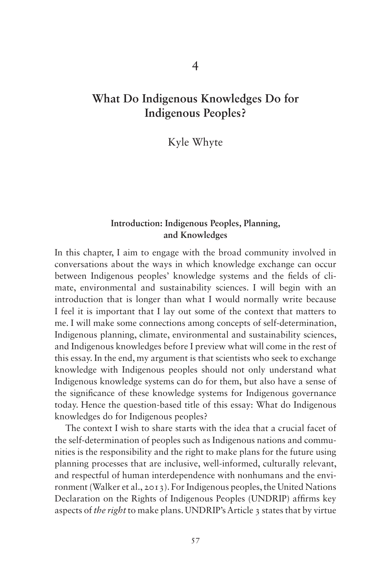# **What Do Indigenous Knowledges Do for Indigenous Peoples?**

Kyle Whyte

## **Introduction: Indigenous Peoples, Planning, and Knowledges**

In this chapter, I aim to engage with the broad community involved in conversations about the ways in which knowledge exchange can occur between Indigenous peoples' knowledge systems and the fields of climate, environmental and sustainability sciences. I will begin with an introduction that is longer than what I would normally write because I feel it is important that I lay out some of the context that matters to me. I will make some connections among concepts of self- determination, Indigenous planning, climate, environmental and sustainability sciences, and Indigenous knowledges before I preview what will come in the rest of this essay. In the end, my argument is that scientists who seek to exchange knowledge with Indigenous peoples should not only understand what Indigenous knowledge systems can do for them, but also have a sense of the significance of these knowledge systems for Indigenous governance today. Hence the question- based title of this essay: What do Indigenous knowledges do for Indigenous peoples?

The context I wish to share starts with the idea that a crucial facet of the self- determination of peoples such as Indigenous nations and communities is the responsibility and the right to make plans for the future using planning processes that are inclusive, well- informed, culturally relevant, and respectful of human interdependence with nonhumans and the environment (Walker et al., 2013 ). For Indigenous peoples , the United Nations Declaration on the Rights of Indigenous Peoples (UNDRIP) affirms key aspects of *the right* to make plans. UNDRIP's Article 3 states that by virtue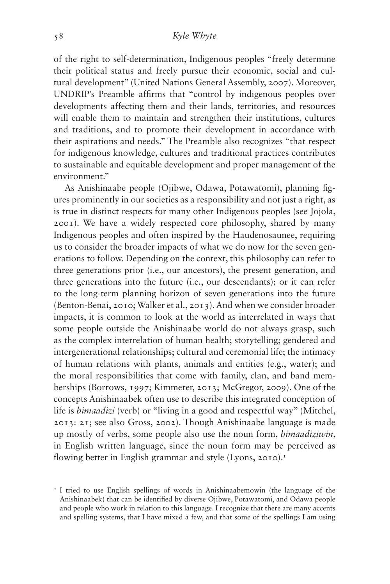of the right to self- determination, Indigenous peoples"freely determine their political status and freely pursue their economic, social and cultural development" (United Nations General Assembly, 2007 ). Moreover, UNDRIP's Preamble affirms that "control by indigenous peoples over developments affecting them and their lands, territories, and resources will enable them to maintain and strengthen their institutions, cultures and traditions, and to promote their development in accordance with their aspirations and needs." The Preamble also recognizes "that respect for indigenous knowledge, cultures and traditional practices contributes to sustainable and equitable development and proper management of the environment."

As Anishinaabe people (Ojibwe, Odawa, Potawatomi), planning figures prominently in our societies as a responsibility and not just a right, as is true in distinct respects for many other Indigenous peoples (see Jojola, 2001 ). We have a widely respected core philosophy, shared by many Indigenous peoples and often inspired by the Haudenosaunee, requiring us to consider the broader impacts of what we do now for the seven generations to follow. Depending on the context, this philosophy can refer to three generations prior (i.e., our ancestors), the present generation, and three generations into the future (i.e., our descendants); or it can refer to the long- term planning horizon of seven generations into the future (Benton-Benai, 2010; Walker et al., 2013). And when we consider broader impacts, it is common to look at the world as interrelated in ways that some people outside the Anishinaabe world do not always grasp, such as the complex interrelation of human health; storytelling; gendered and intergenerational relationships; cultural and ceremonial life; the intimacy of human relations with plants, animals and entities (e.g., water); and the moral responsibilities that come with family, clan, and band memberships (Borrows, 1997; Kimmerer, 2013; McGregor, 2009). One of the concepts Anishinaabek often use to describe this integrated conception of life is *bimaadizi* (verb) or "living in a good and respectful way" (Mitchel, 2013 : 21; see also Gross, 2002 ). Though Anishinaabe language is made up mostly of verbs, some people also use the noun form, *bimaadiziwin* , in English written language, since the noun form may be perceived as flowing better in English grammar and style (Lyons,  $20IQ$ ).<sup>1</sup>

 1 I tried to use English spellings of words in Anishinaabemowin (the language of the Anishinaabek) that can be identified by diverse Ojibwe, Potawatomi, and Odawa people and people who work in relation to this language. I recognize that there are many accents and spelling systems, that I have mixed a few, and that some of the spellings I am using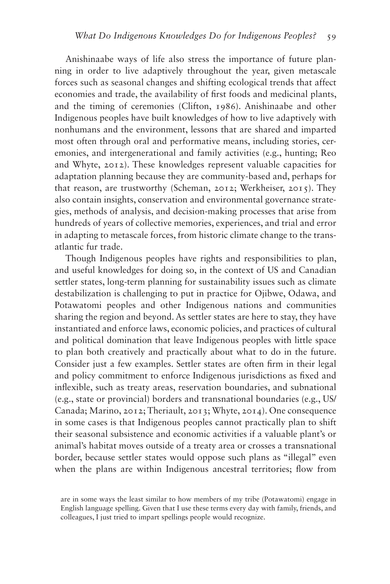Anishinaabe ways of life also stress the importance of future planning in order to live adaptively throughout the year, given metascale forces such as seasonal changes and shifting ecological trends that affect economies and trade, the availability of first foods and medicinal plants, and the timing of ceremonies (Clifton, 1986). Anishinaabe and other Indigenous peoples have built knowledges of how to live adaptively with nonhumans and the environment, lessons that are shared and imparted most often through oral and performative means, including stories, ceremonies, and intergenerational and family activities (e.g., hunting; Reo and Whyte, 2012). These knowledges represent valuable capacities for adaptation planning because they are community-based and, perhaps for that reason, are trustworthy (Scheman, 2012; Werkheiser, 2015). They also contain insights, conservation and environmental governance strategies, methods of analysis, and decision- making processes that arise from hundreds of years of collective memories, experiences, and trial and error in adapting to metascale forces, from historic climate change to the transatlantic fur trade.

Though Indigenous peoples have rights and responsibilities to plan, and useful knowledges for doing so, in the context of US and Canadian settler states, long-term planning for sustainability issues such as climate destabilization is challenging to put in practice for Ojibwe, Odawa, and Potawatomi peoples and other Indigenous nations and communities sharing the region and beyond. As settler states are here to stay, they have instantiated and enforce laws, economic policies, and practices of cultural and political domination that leave Indigenous peoples with little space to plan both creatively and practically about what to do in the future. Consider just a few examples. Settler states are often firm in their legal and policy commitment to enforce Indigenous jurisdictions as fixed and inflexible, such as treaty areas, reservation boundaries, and subnational (e.g., state or provincial) borders and transnational boundaries (e.g., US/ Canada; Marino, 2012; Theriault, 2013; Whyte, 2014). One consequence in some cases is that Indigenous peoples cannot practically plan to shift their seasonal subsistence and economic activities if a valuable plant 's or animal's habitat moves outside of a treaty area or crosses a transnational border, because settler states would oppose such plans as "illegal" even when the plans are within Indigenous ancestral territories; flow from

are in some ways the least similar to how members of my tribe (Potawatomi) engage in English language spelling. Given that I use these terms every day with family, friends, and colleagues, I just tried to impart spellings people would recognize.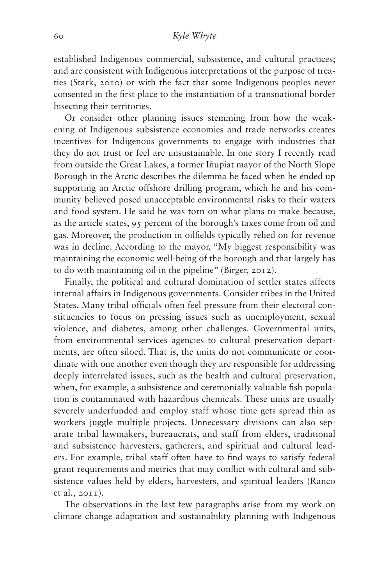established Indigenous commercial, subsistence, and cultural practices; and are consistent with Indigenous interpretations of the purpose of treaties (Stark, 2010 ) or with the fact that some Indigenous peoples never consented in the first place to the instantiation of a transnational border bisecting their territories.

Or consider other planning issues stemming from how the weakening of Indigenous subsistence economies and trade networks creates incentives for Indigenous governments to engage with industries that they do not trust or feel are unsustainable. In one story I recently read from outside the Great Lakes, a former Iñupiat mayor of the North Slope Borough in the Arctic describes the dilemma he faced when he ended up supporting an Arctic offshore drilling program, which he and his community believed posed unacceptable environmental risks to their waters and food system. He said he was torn on what plans to make because, as the article states, 95 percent of the borough's taxes come from oil and gas. Moreover, the production in oilfields typically relied on for revenue was in decline. According to the mayor, "My biggest responsibility was maintaining the economic well- being of the borough and that largely has to do with maintaining oil in the pipeline" (Birger, 2012 ).

Finally, the political and cultural domination of settler states affects internal affairs in Indigenous governments. Consider tribes in the United States. Many tribal officials often feel pressure from their electoral constituencies to focus on pressing issues such as unemployment, sexual violence, and diabetes, among other challenges. Governmental units, from environmental services agencies to cultural preservation departments, are often siloed. That is, the units do not communicate or coordinate with one another even though they are responsible for addressing deeply interrelated issues, such as the health and cultural preservation, when, for example, a subsistence and ceremonially valuable fish population is contaminated with hazardous chemicals. These units are usually severely underfunded and employ staff whose time gets spread thin as workers juggle multiple projects. Unnecessary divisions can also separate tribal lawmakers, bureaucrats, and staff from elders, traditional and subsistence harvesters, gatherers, and spiritual and cultural leaders. For example, tribal staff often have to find ways to satisfy federal grant requirements and metrics that may conflict with cultural and subsistence values held by elders, harvesters, and spiritual leaders (Ranco et al., 2011 ).

The observations in the last few paragraphs arise from my work on climate change adaptation and sustainability planning with Indigenous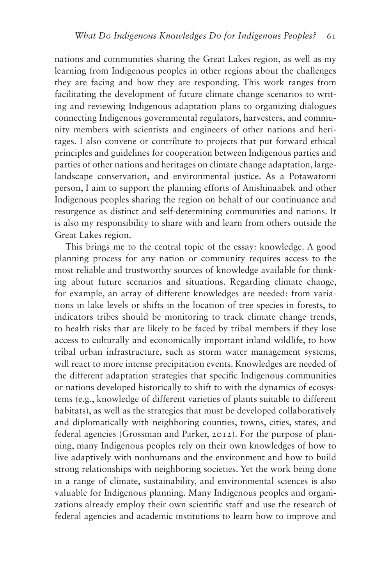nations and communities sharing the Great Lakes region, as well as my learning from Indigenous peoples in other regions about the challenges they are facing and how they are responding. This work ranges from facilitating the development of future climate change scenarios to writing and reviewing Indigenous adaptation plans to organizing dialogues connecting Indigenous governmental regulators, harvesters, and community members with scientists and engineers of other nations and heritages. I also convene or contribute to projects that put forward ethical principles and guidelines for cooperation between Indigenous parties and parties of other nations and heritages on climate change adaptation, largelandscape conservation, and environmental justice. As a Potawatomi person, I aim to support the planning efforts of Anishinaabek and other Indigenous peoples sharing the region on behalf of our continuance and resurgence as distinct and self-determining communities and nations. It is also my responsibility to share with and learn from others outside the Great Lakes region.

This brings me to the central topic of the essay: knowledge. A good planning process for any nation or community requires access to the most reliable and trustworthy sources of knowledge available for thinking about future scenarios and situations. Regarding climate change, for example, an array of different knowledges are needed: from variations in lake levels or shifts in the location of tree species in forests, to indicators tribes should be monitoring to track climate change trends, to health risks that are likely to be faced by tribal members if they lose access to culturally and economically important inland wildlife, to how tribal urban infrastructure, such as storm water management systems, will react to more intense precipitation events. Knowledges are needed of the different adaptation strategies that specific Indigenous communities or nations developed historically to shift to with the dynamics of ecosystems (e.g., knowledge of different varieties of plants suitable to different habitats), as well as the strategies that must be developed collaboratively and diplomatically with neighboring counties, towns, cities, states, and federal agencies (Grossman and Parker, 2012 ). For the purpose of planning, many Indigenous peoples rely on their own knowledges of how to live adaptively with nonhumans and the environment and how to build strong relationships with neighboring societies. Yet the work being done in a range of climate, sustainability, and environmental sciences is also valuable for Indigenous planning. Many Indigenous peoples and organizations already employ their own scientific staff and use the research of federal agencies and academic institutions to learn how to improve and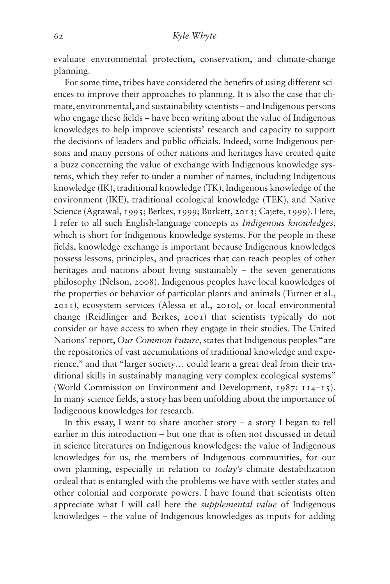evaluate environmental protection, conservation, and climate-change planning.

For some time, tribes have considered the benefits of using different sciences to improve their approaches to planning. It is also the case that climate, environmental, and sustainability scientists –and Indigenous persons who engage these fields – have been writing about the value of Indigenous knowledges to help improve scientists' research and capacity to support the decisions of leaders and public officials. Indeed, some Indigenous persons and many persons of other nations and heritages have created quite a buzz concerning the value of exchange with Indigenous knowledge systems, which they refer to under a number of names, including Indigenous knowledge (IK), traditional knowledge (TK), Indigenous knowledge of the environment (IKE), traditional ecological knowledge (TEK), and Native Science (Agrawal, 1995; Berkes, 1999; Burkett, 2013; Cajete, 1999). Here, I refer to all such English- language concepts as *Indigenous knowledges* , which is short for Indigenous knowledge systems. For the people in these fields, knowledge exchange is important because Indigenous knowledges possess lessons, principles, and practices that can teach peoples of other heritages and nations about living sustainably  $-$  the seven generations philosophy (Nelson, 2008 ). Indigenous peoples have local knowledges of the properties or behavior of particular plants and animals (Turner et al., 2011 ), ecosystem services (Alessa et al., 2010 ), or local environmental change (Reidlinger and Berkes, 2001) that scientists typically do not consider or have access to when they engage in their studies. The United Nations' report, *Our Common Future*, states that Indigenous peoples "are the repositories of vast accumulations of traditional knowledge and experience," and that "larger society… could learn a great deal from their traditional skills in sustainably managing very complex ecological systems" (World Commission on Environment and Development,  $1987: 114-15$ ). In many science fields, a story has been unfolding about the importance of Indigenous knowledges for research.

In this essay, I want to share another story  $-$  a story I began to tell earlier in this introduction – but one that is often not discussed in detail in science literatures on Indigenous knowledges: the value of Indigenous knowledges for us, the members of Indigenous communities, for our own planning, especially in relation to *today's* climate destabilization ordeal that is entangled with the problems we have with settler states and other colonial and corporate powers. I have found that scientists often appreciate what I will call here the *supplemental value* of Indigenous knowledges – the value of Indigenous knowledges as inputs for adding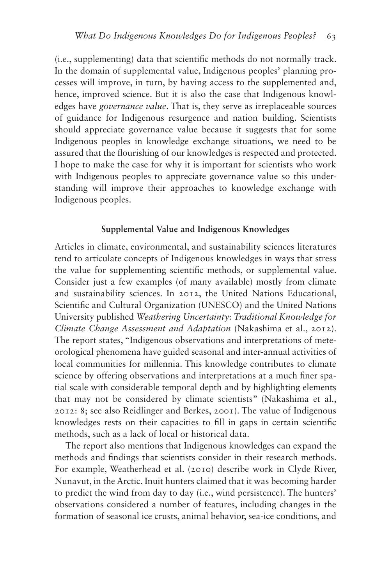(i.e., supplementing) data that scientific methods do not normally track. In the domain of supplemental value, Indigenous peoples' planning processes will improve, in turn, by having access to the supplemented and, hence, improved science. But it is also the case that Indigenous knowledges have *governance value* . That is, they serve as irreplaceable sources of guidance for Indigenous resurgenceand nation building. Scientists should appreciate governance value because it suggests that for some Indigenous peoples in knowledge exchange situations, we need to be assured that the flourishing of our knowledges is respected and protected. I hope to make the case for why it is important for scientists who work with Indigenous peoples to appreciate governance value so this understanding will improve their approaches to knowledge exchange with Indigenous peoples.

#### **Supplemental Value and Indigenous Knowledges**

Articles in climate, environmental, and sustainability sciences literatures tend to articulate concepts of Indigenous knowledges in ways that stress the value for supplementing scientific methods, or supplemental value. Consider just a few examples (of many available) mostly from climate and sustainability sciences. In 2012, the United Nations Educational, Scientific and Cultural Organization (UNESCO) and the United Nations University published *Weathering Uncertainty*: *Traditional Knowledge for Climate Change Assessment and Adaptation* (Nakashima et al., 2012 ). The report states, "Indigenous observations and interpretations of meteorological phenomena have guided seasonal and inter- annual activities of local communities for millennia. This knowledge contributes to climate science by offering observations and interpretations at a much finer spatial scale with considerable temporal depth and by highlighting elements that may not be considered by climate scientists" (Nakashima et al., 2012 : 8; see also Reidlinger and Berkes, 2001 ). The value of Indigenous knowledges rests on their capacities to fill in gaps in certain scientific methods, such as a lack of local or historical data.

The report also mentions that Indigenous knowledges can expand the methods and findings that scientists consider in their research methods. For example, Weatherhead et al. (2010) describe work in Clyde River, Nunavut, in the Arctic. Inuit huntersclaimed that it was becoming harder to predict the wind from day to day (i.e., wind persistence). The hunters' observations considered a number of features, including changes in the formation of seasonal ice crusts, animal behavior, sea- ice conditions, and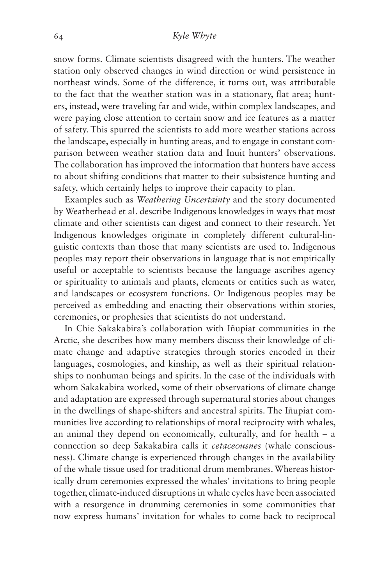### 64 *Kyle Whyte*

snow forms. Climate scientists disagreed with the hunters. The weather station only observed changes in wind direction or wind persistence in northeast winds. Some of the difference, it turns out, was attributable to the fact that the weather station was in a stationary, flat area; hunters, instead, were traveling far and wide, within complex landscapes, and were paying close attention to certain snow and ice features as a matter of safety. This spurred the scientists to add more weather stations across the landscape, especially in hunting areas, and to engage in constant comparison between weather station data and Inuit hunters' observations. The collaboration has improved the information that hunters have access to about shifting conditions that matter to their subsistence hunting and safety, which certainly helps to improve their capacity to plan.

Examples such as *Weathering Uncertainty* and the story documented by Weatherhead et al. describe Indigenous knowledges in ways that most climate and other scientists can digest and connect to their research. Yet Indigenous knowledges originate in completely different cultural-linguistic contexts than those that many scientists are used to. Indigenous peoples may report their observations in language that is not empirically useful or acceptable to scientists because the language ascribes agency or spirituality to animalsand plants , elements or entities such as water, and landscapes or ecosystem functions. Or Indigenous peoples may be perceived as embedding and enacting their observations within stories, ceremonies, or prophesies that scientists do not understand.

In Chie Sakakabira's collaboration with Iñupiat communities in the Arctic, she describes how many members discuss their knowledge of climate change and adaptive strategies through stories encoded in their languages, cosmologies, and kinship, as well as their spiritual relationships to nonhuman beings and spirits. In the case of the individuals with whom Sakakabira worked, some of their observations of climate change and adaptation are expressed through supernatural stories about changes in the dwellings of shape- shifters and ancestral spirits. The Iñupiat communities live according to relationships of moral reciprocity with whales, an animal they depend on economically, culturally, and for health – a connection so deep Sakakabira calls it *cetaceousnes* (whale consciousness). Climate change is experienced through changes in the availability of the whale tissue used for traditional drum membranes. Whereas historically drum ceremonies expressed the whales' invitations to bring people together, climate- induced disruptions in whale cycles have been associated with a resurgence in drumming ceremonies in some communities that now express humans' invitation for whales to come back to reciprocal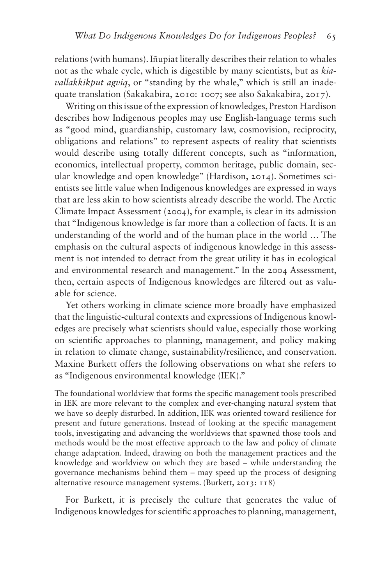relations (with humans). Iñupiat literally describes their relation to whales not as the whale cycle, which is digestible by many scientists, but as *kiavallakkikput agviq*, or "standing by the whale," which is still an inadequate translation (Sakakabira, 2010: 1007; see also Sakakabira, 2017).

Writing on this issue of the expression of knowledges, Preston Hardison describes how Indigenous peoples may use English-language terms such as "good mind, guardianship, customary law, cosmovision, reciprocity, obligations and relations" to represent aspects of reality that scientists would describe using totally different concepts, such as "information, economics, intellectual property, common heritage, public domain, secular knowledge and open knowledge" (Hardison, 2014 ). Sometimes scientists see little value when Indigenous knowledges are expressed in ways that are less akin to how scientists already describe the world. The Arctic Climate Impact Assessment ( $2004$ ), for example, is clear in its admission that "Indigenous knowledge is far more than a collection of facts. It is an understanding of the world and of the human place in the world … The emphasis on the cultural aspects of indigenous knowledge in this assessment is not intended to detract from the great utility it has in ecological and environmental research and management." In the 2004 Assessment, then, certain aspects of Indigenous knowledges are filtered out as valuable for science.

Yet others working in climate science more broadly have emphasized that the linguistic- cultural contexts and expressions of Indigenous knowledges are precisely what scientists should value, especially those working on scientific approaches to planning, management, and policy making in relation to climate change, sustainability/resilience, and conservation. Maxine Burkett offers the following observations on what she refers to as "Indigenous environmental knowledge (IEK) ."

The foundational worldview that forms the specific management tools prescribed in IEK are more relevant to the complex and ever- changing natural system that we have so deeply disturbed. In addition, IEK was oriented toward resilience for present and future generations. Instead of looking at the specific management tools, investigating and advancing the worldviews that spawned those tools and methods would be the most effective approach to the law and policy of climate change adaptation. Indeed, drawing on both the management practices and the knowledge and worldview on which they are based – while understanding the governance mechanisms behind them – may speed up the process of designing alternative resource management systems. (Burkett, 2013: 118)

For Burkett, it is precisely the culture that generates the value of Indigenous knowledges for scientific approaches to planning, management,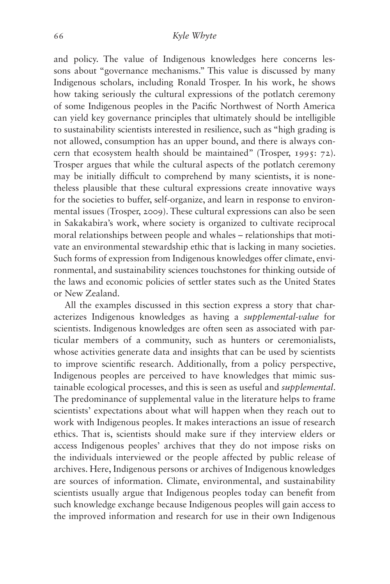and policy. The value of Indigenous knowledges here concerns lessons about "governance mechanisms." This value is discussed by many Indigenous scholars, including Ronald Trosper. In his work, he shows how taking seriously the cultural expressions of the potlatch ceremony of some Indigenous peoples in the Pacific Northwest of North America can yield key governance principles that ultimately should be intelligible to sustainability scientists interested in resilience, such as "high grading is not allowed, consumption has an upper bound, and there is always concern that ecosystem health should be maintained" (Trosper, 1995:  $72$ ). Trosper argues that while the cultural aspects of the potlatch ceremony may be initially difficult to comprehend by many scientists, it is nonetheless plausible that these cultural expressions create innovative ways for the societies to buffer, self-organize, and learn in response to environmental issues (Trosper, 2009). These cultural expressions can also be seen in Sakakabira 's work, where society is organized to cultivate reciprocal moral relationships between people and whales – relationships that motivate an environmental stewardship ethic that is lacking in many societies. Such forms of expression from Indigenous knowledges offer climate, environmental, and sustainability sciences touchstones for thinking outside of the laws and economic policies of settler states such as the United States or New Zealand.

All the examples discussed in this section express a story that characterizes Indigenous knowledges as having a *supplemental- value* for scientists. Indigenous knowledges are often seen as associated with particular members of a community, such as hunters or ceremonialists, whose activities generate data and insights that can be used by scientists to improve scientific research. Additionally, from a policy perspective, Indigenous peoples are perceived to have knowledges that mimic sustainable ecological processes, and this is seen as useful and *supplemental* . The predominance of supplemental value in the literature helps to frame scientists' expectations about what will happen when they reach out to work with Indigenous peoples. It makes interactions an issue of research ethics. That is, scientists should make sure if they interview elders or access Indigenous peoples' archives that they do not impose risks on the individuals interviewed or the people affected by public release of archives. Here, Indigenous persons or archives of Indigenous knowledges are sources of information. Climate, environmental, and sustainability scientists usually argue that Indigenous peoples today can benefit from such knowledge exchange because Indigenous peoples will gain access to the improved information and research for use in their own Indigenous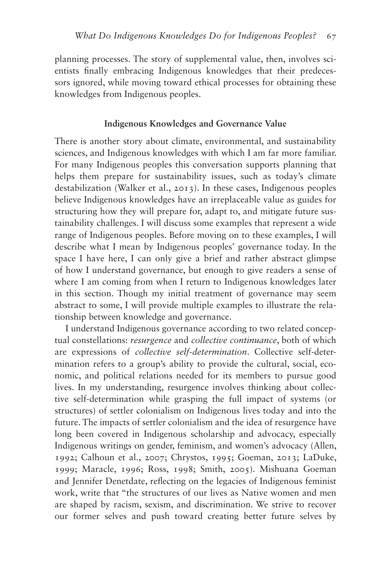planning processes. The story of supplemental value, then, involves scientists finally embracing Indigenous knowledges that their predecessors ignored, while moving toward ethical processes for obtaining these knowledges from Indigenous peoples.

#### **Indigenous Knowledges and Governance Value**

There is another story about climate, environmental, and sustainability sciences, and Indigenous knowledges with which I am far more familiar. For many Indigenous peoples this conversation supports planning that helps them prepare for sustainability issues, such as today's climate destabilization(Walker et al., 2013 ). In these cases, Indigenous peoples believe Indigenous knowledges have an irreplaceable value as guides for structuring how they will prepare for, adapt to, and mitigate future sustainability challenges. I will discuss some examples that represent a wide range of Indigenous peoples. Before moving on to these examples, I will describe what I mean by Indigenous peoples' governance today. In the space I have here, I can only give a brief and rather abstract glimpse of how I understand governance, but enough to give readers a sense of where I am coming from when I return to Indigenous knowledges later in this section. Though my initial treatment of governance may seem abstract to some, I will provide multiple examples to illustrate the relationship between knowledge and governance.

I understand Indigenous governance according to two related conceptual constellations: *resurgence* and *collective continuance* , both of which are expressions of *collective self- determination* . Collective self- determination refers to a group's ability to provide the cultural, social, economic, and political relations needed for its members to pursue good lives. In my understanding, resurgence involves thinking about collective self- determination while grasping the full impact of systems (or structures) of settler colonialism on Indigenous lives today and into the future. The impacts of settler colonialismand the idea of resurgence have long been covered in Indigenous scholarship and advocacy, especially Indigenous writings on gender, feminism, and women's advocacy (Allen, 1992; Calhoun et al., 2007; Chrystos, 1995; Goeman, 2013; LaDuke, 1999; Maracle, 1996; Ross, 1998; Smith, 2005). Mishuana Goeman and Jennifer Denetdate, reflecting on the legacies of Indigenous feminist work, write that "the structures of our lives as Native women and men are shaped by racism, sexism, and discrimination. We strive to recover our former selves and push toward creating better future selves by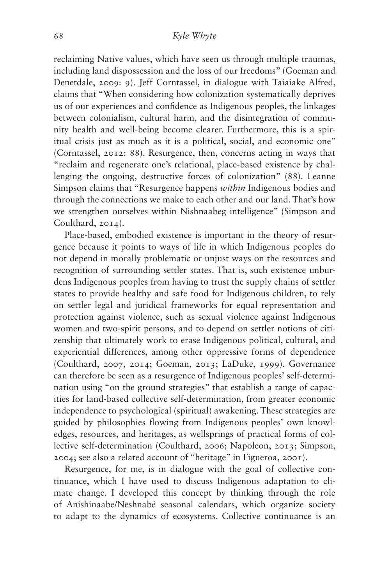reclaiming Native values, which have seen us through multiple traumas, including land dispossession and the loss of our freedoms" (Goeman and Denetdale, 2009: 9). Jeff Corntassel, in dialogue with Taiaiake Alfred, claims that "When considering how colonization systematically deprives us of our experiences and confidence as Indigenous peoples, the linkages between colonialism, cultural harm, and the disintegration of community health and well-being become clearer. Furthermore, this is a spiritual crisis just as much as it is a political, social, and economic one" (Corntassel, 2012 : 88). Resurgence , then, concerns acting in ways that "reclaim and regenerate one's relational, place-based existence by challenging the ongoing, destructive forces of colonization" (88). Leanne Simpson claims that "Resurgence happens *within* Indigenous bodies and through the connections we make to each other and our land. That's how we strengthen ourselves within Nishnaabeg intelligence" (Simpson and Coulthard, 2014).

Place-based, embodied existence is important in the theory of resurgence because it points to ways of life in which Indigenous peoples do not depend in morally problematic or unjust ways on the resources and recognition of surrounding settler states . That is, such existence unburdens Indigenous peoples from having to trust the supply chains of settler states to provide healthy and safe food for Indigenous children, to rely on settler legal and juridical frameworks for equal representation and protection against violence, such as sexual violence against Indigenous women and two-spirit persons, and to depend on settler notions of citizenship that ultimately work to erase Indigenous political, cultural, and experiential differences, among other oppressive forms of dependence (Coulthard, 2007, 2014; Goeman, 2013; LaDuke, 1999). Governance can therefore be seen as a resurgence of Indigenous peoples' self- determination using "on the ground strategies" that establish a range of capacities for land-based collective self-determination, from greater economic independence to psychological (spiritual) awakening. These strategies are guided by philosophies flowing from Indigenous peoples' own knowledges, resources, and heritages, as wellsprings of practical forms of collective self-determination (Coulthard, 2006; Napoleon, 2013; Simpson, 2004 ; see also a related account of "heritage" in Figueroa, 2001 ).

Resurgence, for me, is in dialogue with the goal of collective continuance, which I have used to discuss Indigenous adaptation to climate change. I developed this concept by thinking through the role of Anishinaabe/ Neshnabé seasonal calendars, which organize society to adapt to the dynamics of ecosystems. Collective continuance is an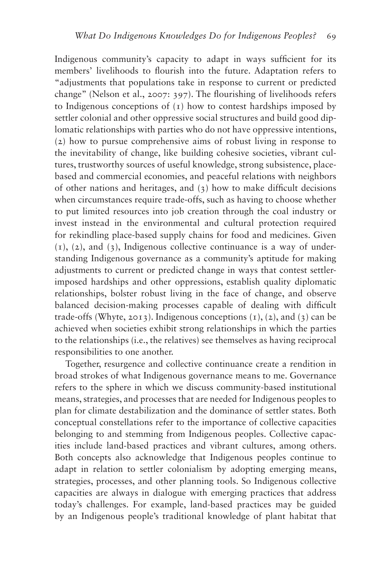Indigenous community's capacity to adapt in ways sufficient for its members' livelihoods to flourish into the future. Adaptation refers to "adjustments that populations take in response to current or predicted change" (Nelson et al., 2007: 397). The flourishing of livelihoods refers to Indigenous conceptions of  $(I)$  how to contest hardships imposed by settler colonial and other oppressive social structures and build good diplomatic relationships with parties who do not have oppressive intentions, (2) how to pursue comprehensive aims of robust living in response to the inevitability of change, like building cohesive societies, vibrant cultures, trustworthy sources of useful knowledge, strong subsistence, placebased and commercial economies, and peaceful relations with neighbors of other nations and heritages, and  $(3)$  how to make difficult decisions when circumstances require trade-offs, such as having to choose whether to put limited resources into job creation through the coal industry or invest instead in the environmental and cultural protection required for rekindling place-based supply chains for food and medicines. Given  $(1)$ ,  $(2)$ , and  $(3)$ , Indigenous collective continuance is a way of understanding Indigenous governance as a community's aptitude for making adjustments to current or predicted change in ways that contest settlerimposed hardships and other oppressions, establish quality diplomatic relationships, bolster robust living in the face of change, and observe balanced decision-making processes capable of dealing with difficult trade-offs (Whyte, 2013). Indigenous conceptions  $(1)$ ,  $(2)$ , and  $(3)$  can be achieved when societies exhibit strong relationships in which the parties to the relationships (i.e., the relatives) see themselves as having reciprocal responsibilities to one another.

Together, resurgence and collective continuance create a rendition in broad strokes of what Indigenous governance means to me. Governance refers to the sphere in which we discuss community- based institutional means, strategies, and processes that are needed for Indigenous peoples to plan for climate destabilization and the dominance of settler states . Both conceptual constellations refer to the importance of collective capacities belonging to and stemming from Indigenous peoples. Collective capacities include land-based practices and vibrant cultures, among others. Both concepts also acknowledge that Indigenous peoples continue to adapt in relation to settler colonialism by adopting emerging means, strategies, processes, and other planning tools. So Indigenous collective capacities are always in dialogue with emerging practices that address today's challenges. For example, land- based practices may be guided by an Indigenous people's traditional knowledge of plant habitat that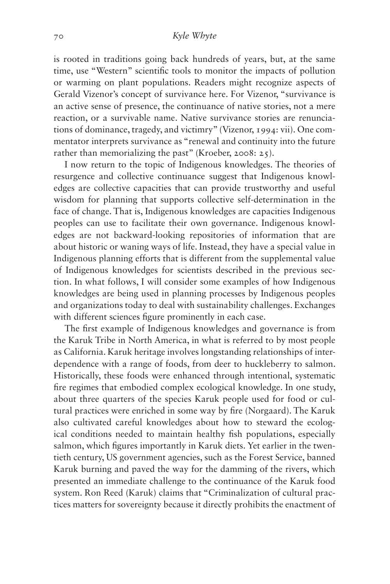### 70 *Kyle Whyte*

is rooted in traditions going back hundreds of years, but, at the same time, use "Western" scientific tools to monitor the impacts of pollution or warming on plant populations. Readers might recognize aspects of Gerald Vizenor's concept of survivance here. For Vizenor, "survivance is an active sense of presence, the continuance of native stories, not a mere reaction, or a survivable name. Native survivance stories are renunciations of dominance, tragedy, and victimry" (Vizenor, 1994: vii). One commentator interprets survivance as "renewal and continuity into the future rather than memorializing the past" (Kroeber, 2008: 25).

I now return to the topic of Indigenous knowledges. The theories of resurgence and collective continuance suggest that Indigenous knowledges are collective capacities that can provide trustworthy and useful wisdom for planning that supports collective self-determination in the face of change. That is, Indigenous knowledges are capacities Indigenous peoples can use to facilitate their own governance. Indigenous knowledges are not backward- looking repositories of information that are about historic or waning ways of life. Instead, they have a special value in Indigenous planning efforts that is different from the supplemental value of Indigenous knowledges for scientists described in the previous section. In what follows, I will consider some examples of how Indigenous knowledges are being used in planning processes by Indigenous peoples and organizations today to deal with sustainability challenges. Exchanges with different sciences figure prominently in each case.

The first example of Indigenous knowledges and governance is from the Karuk Tribe in North America, in what is referred to by most people as California. Karuk heritage involves longstanding relationships of interdependence with a range of foods, from deer to huckleberry to salmon. Historically, these foods were enhanced through intentional, systematic fire regimes that embodied complex ecological knowledge. In one study, about three quarters of the species Karuk people used for food or cultural practices were enriched in some way by fire (Norgaard). The Karuk also cultivated careful knowledges about how to steward the ecological conditions needed to maintain healthy fish populations, especially salmon, which figures importantly in Karuk diets. Yet earlier in the twentieth century, US government agencies, such as the Forest Service, banned Karuk burning and paved the way for the damming of the rivers, which presented an immediate challenge to the continuance of the Karuk food system. Ron Reed (Karuk) claims that "Criminalization of cultural practices matters for sovereignty because it directly prohibits the enactment of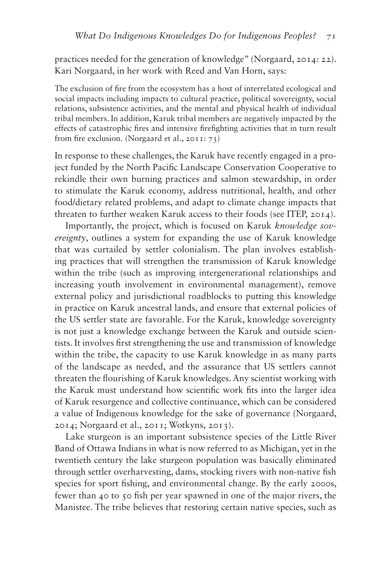practices needed for the generation of knowledge" (Norgaard, 2014: 22). Kari Norgaard, in her work with Reed and Van Horn, says:

The exclusion of fire from the ecosystem has a host of interrelated ecological and social impacts including impacts to cultural practice, political sovereignty, social relations, subsistence activities, and the mental and physical health of individual tribal members. In addition, Karuk tribal members are negatively impacted by the effects of catastrophic fires and intensive firefighting activities that in turn result from fire exclusion. *(Norgaard et al., 2011: 73)* 

In response to these challenges, the Karuk have recently engaged in a project funded by the North Pacific Landscape Conservation Cooperative to rekindle their own burning practices and salmon stewardship, in order to stimulate the Karuk economy, address nutritional, health, and other food/dietary related problems, and adapt to climate change impacts that threaten to further weaken Karuk access to their foods (see ITEP, 2014 ).

Importantly, the project, which is focused on Karuk *knowledge sovereignty*, outlines a system for expanding the use of Karuk knowledge that was curtailed by settler colonialism. The plan involves establishing practices that will strengthen the transmission of Karuk knowledge within the tribe (such as improving intergenerational relationships and increasing youth involvement in environmental management), remove external policy and jurisdictional roadblocks to putting this knowledge in practice on Karuk ancestral lands, and ensure that external policies of the US settler state are favorable. For the Karuk, knowledge sovereignty is not just a knowledge exchange between the Karuk and outside scientists. It involves first strengthening the use and transmission of knowledge within the tribe, the capacity to use Karuk knowledge in as many parts of the landscape as needed, and the assurance that US settlers cannot threaten the flourishing of Karuk knowledges. Any scientist working with the Karuk must understand how scientific work fits into the larger idea of Karuk resurgence and collective continuance, which can be considered a value of Indigenous knowledge for the sake of governance (Norgaard, 2014 ; Norgaard et al., 2011 ; Wotkyns, 2013 ).

Lake sturgeon is an important subsistence species of the Little River Band of Ottawa Indians in what is now referred to as Michigan, yet in the twentieth century the lake sturgeon population was basically eliminated through settler overharvesting, dams, stocking rivers with non-native fish species for sport fishing, and environmental change. By the early 2000s, fewer than 40 to 50 fish per year spawned in one of the major rivers, the Manistee. The tribe believes that restoring certain native species, such as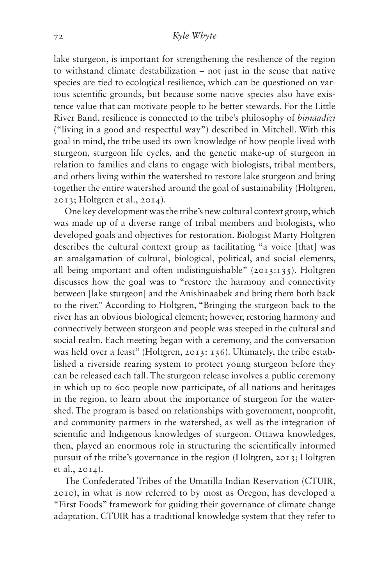lake sturgeon, is important for strengthening the resilience of the region to withstand climate destabilization – not just in the sense that native species are tied to ecological resilience, which can be questioned on various scientific grounds, but because some native species also have existence value that can motivate people to be better stewards. For the Little River Band, resilience is connected to the tribe's philosophy of *bimaadizi*  ("living in a good and respectful way") described in Mitchell. With this goal in mind, the tribe used its own knowledge of how people lived with sturgeon, sturgeon life cycles, and the genetic make-up of sturgeon in relation to families and clans to engage with biologists, tribal members, and others living within the watershed to restore lake sturgeon and bring together the entire watershed around the goal of sustainability (Holtgren, 2013 ; Holtgren et al., 2014 ).

One key development was the tribe's new cultural context group, which was made up of a diverse range of tribal members and biologists, who developed goals and objectives for restoration. Biologist Marty Holtgren describes the cultural context group as facilitating "a voice [that] was an amalgamation of cultural, biological, political, and social elements, all being important and often indistinguishable"  $(2013:135)$ . Holtgren discusses how the goal was to "restore the harmony and connectivity between [lake sturgeon] and the Anishinaabek and bring them both back to the river." According to Holtgren, "Bringing the sturgeon back to the river has an obvious biological element; however, restoring harmony and connectively between sturgeon and people was steeped in the cultural and social realm. Each meeting began with a ceremony, and the conversation was held over a feast" (Holtgren, 2013: 136). Ultimately, the tribe established a riverside rearing system to protect young sturgeon before they can be released each fall. The sturgeon release involves a public ceremony in which up to 600 people now participate, of all nations and heritages in the region, to learn about the importance of sturgeon for the watershed. The program is based on relationships with government, nonprofit, and community partners in the watershed, as well as the integration of scientific and Indigenous knowledges of sturgeon. Ottawa knowledges, then, played an enormous role in structuring the scientifically informed pursuit of the tribe's governance in the region (Holtgren, 2013; Holtgren et al.,  $20I4$ ).

The Confederated Tribes of the Umatilla Indian Reservation (CTUIR, 2010 ), in what is now referred to by most as Oregon, has developed a "First Foods" framework for guiding their governance of climate change adaptation. CTUIR has a traditional knowledge system that they refer to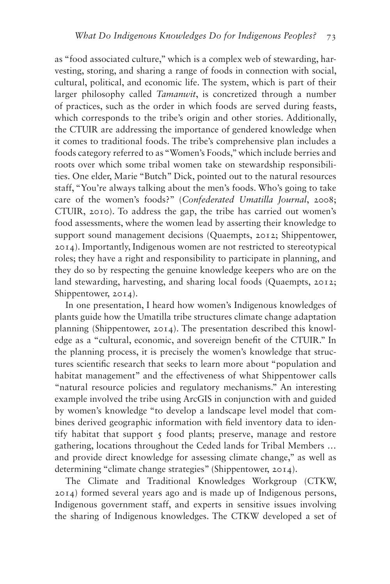as "food associated culture," which is a complex web of stewarding, harvesting, storing, and sharing a range of foods in connection with social, cultural, political, and economic life. The system, which is part of their larger philosophy called *Tamanwit*, is concretized through a number of practices, such as the order in which foods are served during feasts, which corresponds to the tribe's origin and other stories. Additionally, the CTUIR are addressing the importance of gendered knowledge when it comes to traditional foods. The tribe's comprehensive plan includes a foods category referred to as "Women's Foods," which include berries and roots over which some tribal women take on stewardship responsibilities. One elder, Marie "Butch" Dick, pointed out to the natural resources staff, "You're always talking about the men's foods. Who's going to take care of the women's foods?" (*Confederated Umatilla Journal*, 2008; CTUIR, 2010 ). To address the gap, the tribe has carried out women's food assessments, where the women lead by asserting their knowledge to support sound management decisions (Quaempts, 2012; Shippentower, 2014 ). Importantly, Indigenous women are not restricted to stereotypical roles; they have a right and responsibility to participate in planning, and they do so by respecting the genuine knowledge keepers who are on the land stewarding, harvesting, and sharing local foods (Quaempts, 2012; Shippentower, 2014).

In one presentation, I heard how women's Indigenous knowledges of plants guide how the Umatilla tribe structures climate change adaptation planning (Shippentower, 2014 ). The presentation described this knowledge as a "cultural, economic, and sovereign benefit of the CTUIR." In the planning process, it is precisely the women's knowledge that structures scientific research that seeks to learn more about "population and habitat management" and the effectiveness of what Shippentower calls "natural resource policies and regulatory mechanisms." An interesting example involved the tribe using ArcGIS in conjunction with and guided by women's knowledge "to develop a landscape level model that combines derived geographic information with field inventory data to identify habitat that support  $\varsigma$  food plants; preserve, manage and restore gathering, locations throughout the Ceded lands for Tribal Members … and provide direct knowledge for assessing climate change," as well as determining "climate change strategies" (Shippentower, 2014).

The Climate and Traditional Knowledges Workgroup (CTKW, 2014 ) formed several years ago and is made up of Indigenous persons, Indigenous government staff, and experts in sensitive issues involving the sharing of Indigenous knowledges. The CTKW developed a set of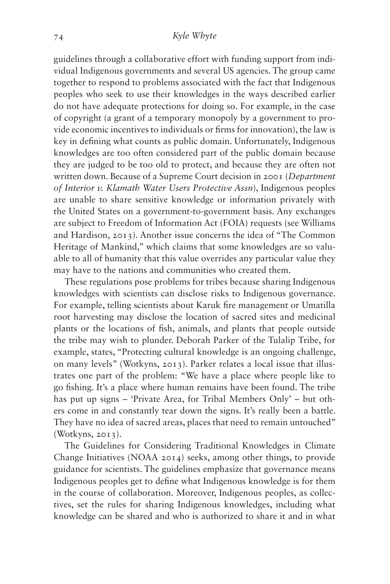guidelines through a collaborative effort with funding support from individual Indigenous governments and several US agencies. The group came together to respond to problems associated with the fact that Indigenous peoples who seek to use their knowledges in the ways described earlier do not have adequate protections for doing so. For example, in the case of copyright (a grant of a temporary monopoly by a government to provide economic incentives to individuals or firms for innovation), the law is key in defining what counts as public domain. Unfortunately, Indigenous knowledges are too often considered part of the public domain because they are judged to be too old to protect, and because they are often not written down. Because of a Supreme Court decision in 2001 ( *Department of Interior v. Klamath Water Users Protective Assn* ), Indigenous peoples are unable to share sensitive knowledge or information privately with the United States on a government-to-government basis. Any exchanges are subject to Freedom of Information Act (FOIA) requests (see Williams and Hardison, 2013 ). Another issue concerns the idea of "The Common Heritage of Mankind," which claims that some knowledges are so valuable to all of humanity that this value overrides any particular value they may have to the nations and communities who created them.

These regulations pose problems for tribes because sharing Indigenous knowledges with scientists can disclose risks to Indigenous governance. For example, telling scientists about Karuk fire management or Umatilla root harvesting may disclose the location of sacred sites and medicinal plants or the locations of fish, animals, and plants that people outside the tribe may wish to plunder. Deborah Parker of the Tulalip Tribe, for example, states, "Protecting cultural knowledge is an ongoing challenge, on many levels" (Wotkyns, 2013). Parker relates a local issue that illustrates one part of the problem: "We have a place where people like to go fishing. It's a place where human remains have been found. The tribe has put up signs – 'Private Area, for Tribal Members Only' – but others come in and constantly tear down the signs. It's really been a battle. They have no idea of sacred areas, places that need to remain untouched"  $(Wotkyns, 2013)$ .

The Guidelines for Considering Traditional Knowledges in Climate Change Initiatives (NOAA 2014) seeks, among other things, to provide guidance for scientists. The guidelines emphasize that governance means Indigenous peoples get to define what Indigenous knowledge is for them in the course of collaboration. Moreover, Indigenous peoples, as collectives, set the rules for sharing Indigenous knowledges, including what knowledge can be shared and who is authorized to share it and in what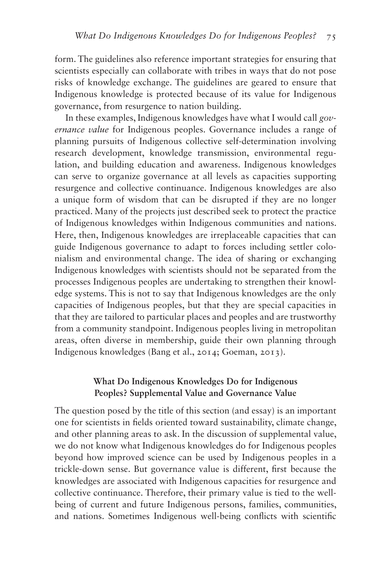form. The guidelines also reference important strategies for ensuring that scientists especially can collaborate with tribes in ways that do not pose risks of knowledge exchange. The guidelines are geared to ensure that Indigenous knowledge is protected because of its value for Indigenous governance, from resurgence to nation building.

In these examples, Indigenous knowledges have what I would call *governance value* for Indigenous peoples. Governance includes a range of planning pursuits of Indigenous collective self-determination involving research development, knowledge transmission, environmental regulation, and building education and awareness. Indigenous knowledges can serve to organize governance at all levels as capacities supporting resurgence and collective continuance. Indigenous knowledges are also a unique form of wisdom that can be disrupted if they are no longer practiced. Many of the projects just described seek to protect the practice of Indigenous knowledges within Indigenous communities and nations. Here, then, Indigenous knowledges are irreplaceable capacities that can guide Indigenous governance to adapt to forces including settler colonialism and environmental change. The idea of sharing or exchanging Indigenous knowledges with scientists should not be separated from the processes Indigenous peoples are undertaking to strengthen their knowledge systems. This is not to say that Indigenous knowledges are the only capacities of Indigenous peoples, but that they are special capacities in that they are tailored to particular places and peoples and are trustworthy from a community standpoint. Indigenous peoples living in metropolitan areas, often diverse in membership, guide their own planning through Indigenous knowledges (Bang et al., 2014; Goeman, 2013).

## **What Do Indigenous Knowledges Do for Indigenous Peoples? Supplemental Value and Governance Value**

The question posed by the title of this section (and essay) is an important one for scientists in fields oriented toward sustainability, climate change, and other planning areas to ask. In the discussion of supplemental value, we do not know what Indigenous knowledges do for Indigenous peoples beyond how improved science can be used by Indigenous peoples in a trickle-down sense. But governance value is different, first because the knowledges are associated with Indigenous capacities for resurgence and collective continuance . Therefore, their primary value is tied to the wellbeing of current and future Indigenous persons, families, communities, and nations. Sometimes Indigenous well-being conflicts with scientific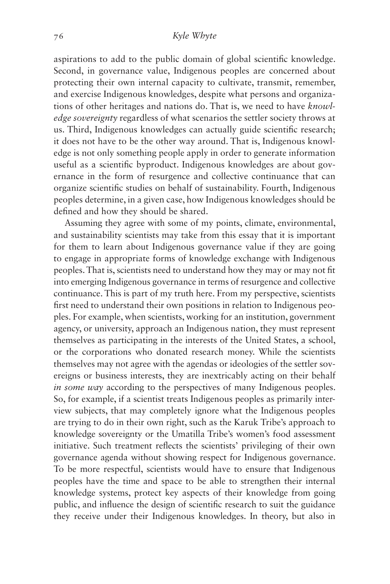aspirations to add to the public domain of global scientific knowledge. Second, in governance value, Indigenous peoples are concerned about protecting their own internal capacity to cultivate, transmit, remember, and exercise Indigenous knowledges, despite what persons and organizations of other heritages and nations do. That is, we need to have *knowledge sovereignty* regardless of what scenarios the settler society throws at us. Third, Indigenous knowledges can actually guide scientific research; it does not have to be the other way around. That is, Indigenous knowledge is not only something people apply in order to generate information useful as a scientific byproduct. Indigenous knowledges are about governance in the form of resurgence and collective continuance that can organize scientific studies on behalf of sustainability. Fourth, Indigenous peoples determine, in a given case, how Indigenous knowledges should be defined and how they should be shared.

Assuming they agree with some of my points, climate, environmental, and sustainability scientists may take from this essay that it is important for them to learn about Indigenous governance value if they are going to engage in appropriate forms of knowledge exchange with Indigenous peoples. That is, scientists need to understand how they may or may not fit into emerging Indigenous governance in terms of resurgenceand collective continuance . This is part of my truth here. From my perspective, scientists first need to understand their own positions in relation to Indigenous peoples. For example, when scientists, working for an institution, government agency, or university, approach an Indigenous nation, they must represent themselves as participating in the interests of the United States, a school, or the corporationswho donated research money. While the scientists themselves may not agree with the agendas or ideologies of the settler sovereigns or business interests, they are inextricably acting on their behalf *in some way* according to the perspectives of many Indigenous peoples. So, for example, if a scientist treats Indigenous peoples as primarily interview subjects, that may completely ignore what the Indigenous peoples are trying to do in their own right, such as the Karuk Tribe's approach to knowledge sovereignty or the Umatilla Tribe's women's food assessment initiative. Such treatment reflects the scientists' privileging of their own governance agenda without showing respect for Indigenous governance. To be more respectful, scientists would have to ensure that Indigenous peoples have the time and space to be able to strengthen their internal knowledge systems, protect key aspects of their knowledge from going public, and influence the design of scientific research to suit the guidance they receive under their Indigenous knowledges. In theory, but also in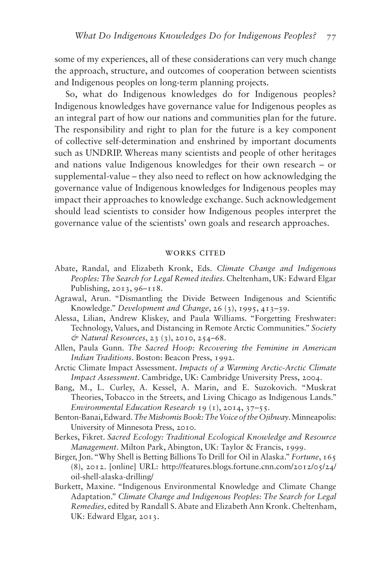some of my experiences, all of these considerations can very much change the approach, structure, and outcomes of cooperation between scientists and Indigenous peoples on long-term planning projects.

So, what do Indigenous knowledges do for Indigenous peoples? Indigenous knowledges have governance value for Indigenous peoples as an integral part of how our nations and communities plan for the future. The responsibility and right to plan for the future is a key component of collective self- determinationand enshrined by important documents such as UNDRIP. Whereas many scientists and people of other heritages and nations value Indigenous knowledges for their own research – or supplemental-value – they also need to reflect on how acknowledging the governance value of Indigenous knowledges for Indigenous peoples may impact their approaches to knowledge exchange. Such acknowledgement should lead scientists to consider how Indigenous peoples interpret the governance value of the scientists' own goals and research approaches.

#### Works Cited

- Abate, Randal, and Elizabeth Kronk, Eds. *Climate Change and Indigenous Peoples: The Search for Legal Remed itedies* . Cheltenham, UK : Edward Elgar Publishing,  $2013, 96 - 118$ .
- Agrawal, Arun. "Dismantling the Divide Between Indigenous and Scientific Knowledge." *Development and Change*, 26 (3), 1995, 413-39.
- Alessa, Lilian, Andrew Kliskey, and Paula Williams. "Forgetting Freshwater: Technology, Values, and Distancing in Remote Arctic Communities ." *Society*   $\acute{\text{c}}$  *Natural Resources*, 23 (3), 2010, 254-68.
- Allen, Paula Gunn. *The Sacred Hoop: Recovering the Feminine in American Indian Traditions*. Boston: Beacon Press, 1992.
- Arctic Climate Impact Assessment. *Impacts of a Warming Arctic-Arctic Climate Impact Assessment*. Cambridge, UK: Cambridge University Press, 2004.
- Bang, M., L. Curley, A. Kessel, A. Marin, and E. Suzokovich. "Muskrat Theories, Tobacco in the Streets, and Living Chicago as Indigenous Lands ." *Environmental Education Research* 19 (1), 2014, 37-55.
- Benton-Banai, Edward. *The Mishomis Book: The Voice of the Ojibway*. Minneapolis: University of Minnesota Press, 2010.
- Berkes, Fikret. Sacred Ecology: Traditional Ecological Knowledge and Resource *Management*. Milton Park, Abington, UK: Taylor & Francis, 1999.
- Birger , Jon . " Why Shell is Betting Billions To Drill for Oil in Alaska ." *Fortune* , 165 (8), 2012. [online] URL: http://features.blogs.fortune.cnn.com/2012/05/24/ oil- shell- alaska- drilling/
- Burkett, Maxine. "Indigenous Environmental Knowledge and Climate Change Adaptation." *Climate Change and Indigenous Peoples: The Search for Legal Remedies,* edited by Randall S. Abate and Elizabeth Ann Kronk. Cheltenham, UK: Edward Elgar, 2013.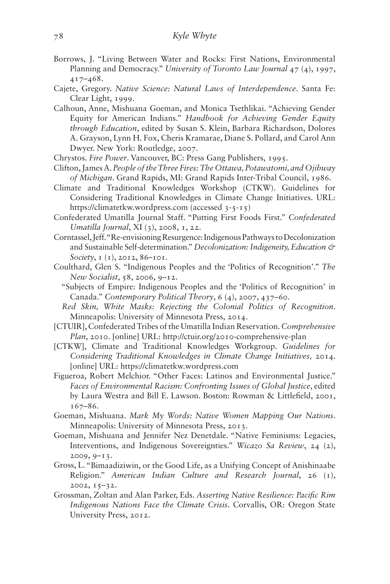- Borrows , J." Living Between Water and Rocks: First Nations, Environmental Planning and Democracy." *University of Toronto Law Journal* 47 (4), 1997,  $417 - 468.$
- Cajete, Gregory. *Native Science: Natural Laws of Interdependence*. Santa Fe: Clear Light, 1999.
- Calhoun, Anne, Mishuana Goeman, and Monica Tsethlikai. "Achieving Gender Equity for American Indians." *Handbook for Achieving Gender Equity through Education*, edited by Susan S. Klein, Barbara Richardson, Dolores A. Grayson, Lynn H. Fox, Cheris Kramarae, Diane S. Pollard, and Carol Ann Dwyer. New York: Routledge, 2007.
- Chrystos. Fire Power. Vancouver, BC: Press Gang Publishers, 1995.
- Clifton , James A. *People of the Three Fires: The Ottawa, Potawatomi, and Ojibway*  of Michigan. Grand Rapids, MI: Grand Rapids Inter-Tribal Council, 1986.
- Climate and Traditional Knowledges Workshop (CTKW). Guidelines for Considering Traditional Knowledges in Climate Change Initiatives. URL: https://climatetkw.wordpress.com (accessed 3-5-15)
- Confederated Umatilla Journal Staff. "Putting First Foods First." *Confederated Umatilla Journal*, XI (3), 2008, 1, 22.
- Corntassel, Jeff. "Re-envisioning Resurgence: Indigenous Pathways to Decolonization and Sustainable Self- determination ." *Decolonization: Indigeneity, Education & Society*,  $I(T)$ , 2012, 86-101.
- Coulthard, Glen S. "Indigenous Peoples and the 'Politics of Recognition'." The *New Socialist*, 58, 2006, 9–12.
	- " Subjects of Empire: Indigenous Peoples and the 'Politics of Recognition' in Canada." *Contemporary Political Theory*, 6 (4), 2007, 437–60.
	- *Red Skin, White Masks: Rejecting the Colonial Politics of Recognition* . Minneapolis: University of Minnesota Press, 2014.
- [CTUIR], Confederated Tribes of the Umatilla Indian Reservation. *Comprehensive Plan*, 2010. [online] URL: http://ctuir.org/2010-comprehensive-plan
- [CTKW], Climate and Traditional Knowledges Workgroup. *Guidelines for Considering Traditional Knowledges in Climate Change Initiatives,* 2014. [online] URL: https://climatetkw.wordpress.com
- Figueroa, Robert Melchior. "Other Faces: Latinos and Environmental Justice." *Faces of Environmental Racism: Confronting Issues of Global Justice* , edited by Laura Westra and Bill E. Lawson. Boston: Rowman & Littlefield, 2001,  $167 - 86.$
- Goeman, Mishuana. *Mark My Words: Native Women Mapping Our Nations*. Minneapolis: University of Minnesota Press, 2013.
- Goeman, Mishuana and Jennifer Nez Denetdale. "Native Feminisms: Legacies, Interventions, and Indigenous Sovereignties." *Wicazo Sa Review*, 24 (2),  $2009, 9 - 13.$
- Gross , L. "Bimaadiziwin, or the Good Life, as a Unifying Concept of Anishinaabe Religion." *American Indian Culture and Research Journal*, 26 (1),  $2002, 15-32.$
- Grossman, Zoltan and Alan Parker, Eds. *Asserting Native Resilience: Pacific Rim* Indigenous Nations Face the Climate Crisis. Corvallis, OR: Oregon State University Press, 2012.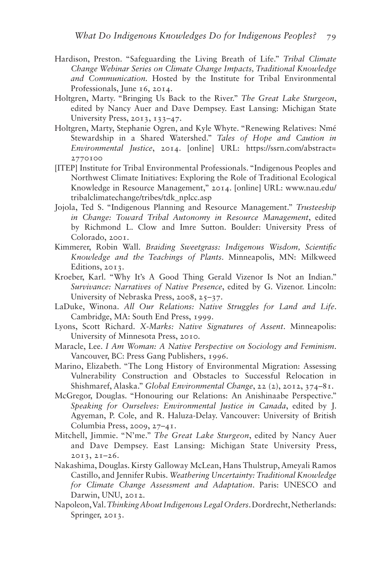- Hardison , Preston . "Safeguarding the Living Breath of Life." *Tribal Climate Change Webinar Series on Climate Change Impacts, Traditional Knowledge and Communication.* Hosted by the Institute for Tribal Environmental Professionals, June 16, 2014.
- Holtgren, Marty. "Bringing Us Back to the River." *The Great Lake Sturgeon*, edited by Nancy Auer and Dave Dempsey. East Lansing: Michigan State University Press, 2013, 133-47.
- Holtgren, Marty, Stephanie Ogren, and Kyle Whyte. "Renewing Relatives: Nmé Stewardship in a Shared Watershed." Tales of Hope and Caution in Environmental Justice, 2014. [online] URL: https://ssrn.com/abstract= 2770100
- [ITEP] Institute for Tribal Environmental Professionals. "Indigenous Peoples and Northwest Climate Initiatives: Exploring the Role of Traditional Ecological Knowledge in Resource Management," 2014. [online] URL: www.nau.edu/ tribalclimatechange/tribes/tdk\_nplcc.asp
- Jojola, Ted S. "Indigenous Planning and Resource Management." *Trusteeship* in Change: Toward Tribal Autonomy in Resource Management, edited by Richmond L. Clow and Imre Sutton. Boulder: University Press of Colorado, 2001.
- Kimmerer, Robin Wall. *Braiding Sweetgrass: Indigenous Wisdom, Scientific Knowledge and the Teachings of Plants*. Minneapolis, MN: Milkweed Editions, 2013.
- Kroeber, Karl. "Why It's A Good Thing Gerald Vizenor Is Not an Indian." *Survivance: Narratives of Native Presence*, edited by G. Vizenor, Lincoln: University of Nebraska Press, 2008, 25–37.
- LaDuke, Winona. All Our Relations: Native Struggles for Land and Life. Cambridge, MA: South End Press, 1999.
- Lyons, Scott Richard. *X-Marks: Native Signatures of Assent*. Minneapolis: University of Minnesota Press, 2010.
- Maracle, Lee. I Am Woman: A Native Perspective on Sociology and Feminism. Vancouver, BC: Press Gang Publishers, 1996.
- Marino, Elizabeth. "The Long History of Environmental Migration: Assessing Vulnerability Construction and Obstacles to Successful Relocation in Shishmaref, Alaska." *Global Environmental Change*, 22 (2), 2012, 374-81.
- McGregor, Douglas. "Honouring our Relations: An Anishinaabe Perspective." *Speaking for Ourselves: Environmental Justice in Canada*, edited by J. Agyeman, P. Cole, and R. Haluza-Delay. Vancouver: University of British Columbia Press, 2009, 27–41 .
- Mitchell, Jimmie. "N'me." *The Great Lake Sturgeon*, edited by Nancy Auer and Dave Dempsey. East Lansing: Michigan State University Press,  $2013, 21 - 26.$
- Nakashima, Douglas. Kirsty Galloway McLean, Hans Thulstrup, Ameyali Ramos Castillo, and Jennifer Rubis. Weathering Uncertainty: Traditional Knowledge *for Climate Change Assessment and Adaptation*. Paris: UNESCO and Darwin, UNU, 2012.
- Napoleon , Val . *Thinking About Indigenous Legal Orders* . Dordrecht, Netherlands : Springer, 2013.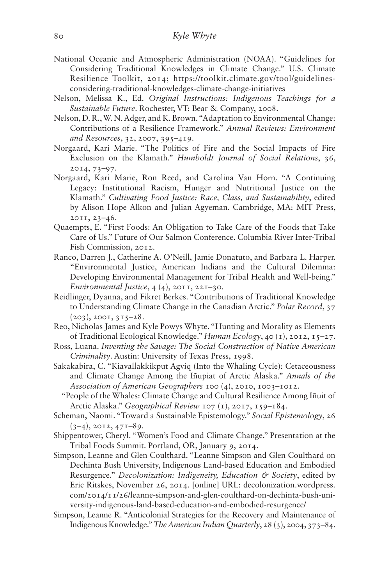- National Oceanic and Atmospheric Administration (NOAA). "Guidelines for Considering Traditional Knowledges in Climate Change." U.S. Climate Resilience Toolkit, 2014; https://toolkit.climate.gov/tool/guidelinesconsidering-traditional-knowledges-climate-change-initiatives
- Nelson, Melissa K., Ed. *Original Instructions: Indigenous Teachings for a* Sustainable Future. Rochester, VT: Bear & Company, 2008.
- Nelson, D. R., W. N. Adger, and K. Brown. "Adaptation to Environmental Change: Contributions of a Resilience Framework ." *Annual Reviews: Environment and Resources*, 32, 2007, 395–419.
- Norgaard, Kari Marie. "The Politics of Fire and the Social Impacts of Fire Exclusion on the Klamath." *Humboldt Journal of Social Relations*, 36,  $2014, 73 - 97.$
- Norgaard, Kari Marie, Ron Reed, and Carolina Van Horn. "A Continuing Legacy: Institutional Racism, Hunger and Nutritional Justice on the Klamath ." *Cultivating Food Justice: Race, Class, and Sustainability* , edited by Alison Hope Alkon and Julian Agyeman. Cambridge, MA: MIT Press,  $2011, 23 - 46.$
- Quaempts, E. "First Foods: An Obligation to Take Care of the Foods that Take Care of Us." Future of Our Salmon Conference. Columbia River Inter-Tribal Fish Commission, 2012.
- Ranco, Darren J., Catherine A. O'Neill, Jamie Donatuto, and Barbara L. Harper. " Environmental Justice, American Indians and the Cultural Dilemma: Developing Environmental Management for Tribal Health and Well-being." *Environmental Justice*, 4 (4), 2011, 221-30.
- Reidlinger , Dyanna , and Fikret Berkes . " Contributions of Traditional Knowledge to Understanding Climate Change in the Canadian Arctic." *Polar Record*, 37  $(203), 2001, 315-28.$
- Reo, Nicholas James and Kyle Powys Whyte. "Hunting and Morality as Elements" of Traditional Ecological Knowledge." *Human Ecology*, 40 (1), 2012, 15-27.
- Ross , Luana . *Inventing the Savage: The Social Construction of Native American Criminality*. Austin: University of Texas Press, 1998.
- Sakakabira, C. "Kiavallakkikput Agviq (Into the Whaling Cycle): Cetaceousness and Climate Change Among the Iñupiat of Arctic Alaska." *Annals of the*  Association of American Geographers 100 (4), 2010, 1003-1012.
- "People of the Whales: Climate Change and Cultural Resilience Among Iñuit of Arctic Alaska." *Geographical Review* 107 (1), 2017 , 159– 184.
- Scheman, Naomi. "Toward a Sustainable Epistemology." Social Epistemology, 26  $(3-4), 2012, 471-89.$
- Shippentower, Cheryl. "Women's Food and Climate Change." Presentation at the Tribal Foods Summit. Portland, OR, January 9, 2014 .
- Simpson, Leanne and Glen Coulthard. "Leanne Simpson and Glen Coulthard on Dechinta Bush University, Indigenous Land- based Education and Embodied Resurgence ." *Decolonization: Indigeneity, Education & Society* , edited by Eric Ritskes, November 26, 2014 . [online] URL: decolonization.wordpress. com/2014/11/26/leanne-simpson-and-glen-coulthard-on-dechinta-bush-university- indigenous- land- based- education- and- embodied- resurgence/
- Simpson, Leanne R. "Anticolonial Strategies for the Recovery and Maintenance of Indigenous Knowledge." *The American Indian Quarterly*, 28(3), 2004, 373–84.